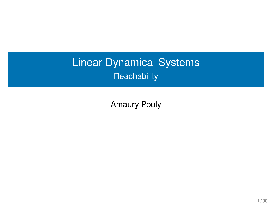# Linear Dynamical Systems **Reachability**

Amaury Pouly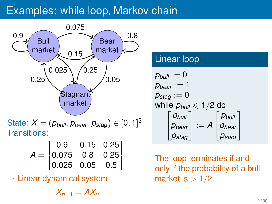## Examples: while loop, Markov chain



 $\text{State: } X = (p_{\textit{bulk}}, p_{\textit{bear}}, p_{\textit{stag}}) \in [0, 1]^3$ Transitions:

| $\begin{bmatrix} 0.9 & 0.15 & 0.25 \end{bmatrix}$                                      |  |  |
|----------------------------------------------------------------------------------------|--|--|
|                                                                                        |  |  |
| $\mathcal{A} = \begin{bmatrix} 0.075 & 0.8 & 0.25 \ 0.025 & 0.05 & 0.5 \end{bmatrix}.$ |  |  |

 $\rightarrow$  Linear dynamical system

 $X_{n+1} = AX_n$ 

#### Linear loop

$$
p_{bull} := 0
$$
\n
$$
p_{bear} := 1
$$
\n
$$
p_{stag} := 0
$$
\nwhile  $p_{bull} \le 1/2$  do\n
$$
\begin{bmatrix} p_{bull} \\ p_{bear} \\ p_{stag} \end{bmatrix} := A \begin{bmatrix} p_{bull} \\ p_{bear} \\ p_{stag} \end{bmatrix}
$$

The loop terminates if and only if the probability of a bull market is  $> 1/2$ .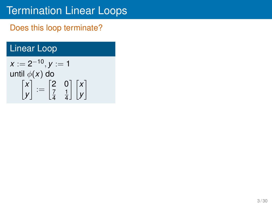### Does this loop terminate?

## Linear Loop

$$
x := 2^{-10}, y := 1
$$
  
until  $\phi(x)$  do  

$$
\begin{bmatrix} x \\ y \end{bmatrix} := \begin{bmatrix} 2 & 0 \\ \frac{7}{4} & \frac{1}{4} \end{bmatrix} \begin{bmatrix} x \\ y \end{bmatrix}
$$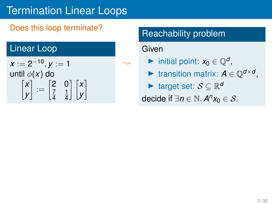### Does this loop terminate?

### Linear Loop

$$
x := 2^{-10}, y := 1
$$
  
until  $\phi(x)$  do  

$$
\begin{bmatrix} x \\ y \end{bmatrix} := \begin{bmatrix} 2 & 0 \\ \frac{7}{4} & \frac{1}{4} \end{bmatrix} \begin{bmatrix} x \\ y \end{bmatrix}
$$

## Reachability problem

#### Given

 $\sim$ 

▶ initial point:  $x_0 \in \mathbb{Q}^d$ ,

▶ transition matrix:  $A \in \mathbb{Q}^{d \times d}$ ,

▶ target set: S ⊆ R *d*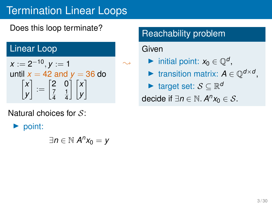Does this loop terminate?

### Linear Loop

$$
x := 2^{-10}, y := 1
$$
  
until  $x = 42$  and  $y = 36$  do  

$$
\begin{bmatrix} x \\ y \end{bmatrix} := \begin{bmatrix} 2 & 0 \\ \frac{7}{4} & \frac{1}{4} \end{bmatrix} \begin{bmatrix} x \\ y \end{bmatrix}
$$

Natural choices for  $S$ :

 $\triangleright$  point:

∃*n* ∈ N *A n x*<sup>0</sup> = *y*

## Reachability problem

#### Given

 $\sim$ 

▶ initial point:  $x_0 \in \mathbb{Q}^d$ ,

▶ transition matrix:  $A \in \mathbb{Q}^{d \times d}$ ,

▶ target set: S ⊆ R *d*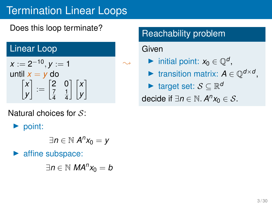### Does this loop terminate?

### Linear Loop

$$
x := 2^{-10}, y := 1
$$
  
until  $x = y$  do  

$$
\begin{bmatrix} x \\ y \end{bmatrix} := \begin{bmatrix} 2 & 0 \\ \frac{7}{4} & \frac{1}{4} \end{bmatrix} \begin{bmatrix} x \\ y \end{bmatrix}
$$

Natural choices for  $S$ :

▶ point:

$$
\exists n\in\mathbb{N}\ A^n x_0=y
$$

affine subspace:

∃*n* ∈ N *MA<sup>n</sup> x*<sup>0</sup> = *b*

## Reachability problem

#### Given

 $\sim$ 

▶ initial point:  $x_0 \in \mathbb{Q}^d$ ,

▶ transition matrix:  $A \in \mathbb{Q}^{d \times d}$ ,

▶ target set: S ⊆ R *d*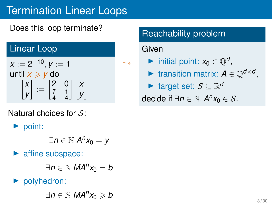Does this loop terminate?

## Linear Loop

$$
x := 2^{-10}, y := 1
$$
  
until  $x \ge y$  do  

$$
\begin{bmatrix} x \\ y \end{bmatrix} := \begin{bmatrix} 2 & 0 \\ \frac{7}{4} & \frac{1}{4} \end{bmatrix} \begin{bmatrix} x \\ y \end{bmatrix}
$$

Natural choices for  $S$ :

▶ point:

$$
\exists n\in\mathbb{N}\ A^n x_0=y
$$

affine subspace:

∃*n* ∈ N *MA<sup>n</sup> x*<sup>0</sup> = *b*

## ▶ polyhedron:

∃*n* ∈ N *MA<sup>n</sup> x*<sup>0</sup> ⩾ *b*

## Reachability problem

#### Given

 $\sim$ 

▶ initial point:  $x_0 \in \mathbb{Q}^d$ ,

▶ transition matrix:  $A \in \mathbb{Q}^{d \times d}$ ,

▶ target set: S ⊆ R *d*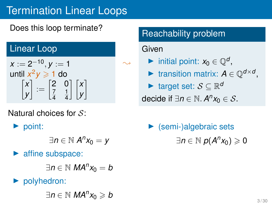## Does this loop terminate?

### Linear Loop

$$
x := 2^{-10}, y := 1
$$
  
until  $x^2y \ge 1$  do  

$$
\begin{bmatrix} x \\ y \end{bmatrix} := \begin{bmatrix} 2 & 0 \\ \frac{7}{4} & \frac{1}{4} \end{bmatrix} \begin{bmatrix} x \\ y \end{bmatrix}
$$

Natural choices for  $S$ :

▶ point:

$$
\exists n\in\mathbb{N}\text{ }A^{n}x_{0}=y
$$

affine subspace:

∃*n* ∈ N *MA<sup>n</sup> x*<sup>0</sup> = *b*

▶ polyhedron:

∃*n* ∈ N *MA<sup>n</sup> x*<sup>0</sup> ⩾ *b*

## Reachability problem

#### Given

 $\sim$ 

▶ initial point:  $x_0 \in \mathbb{Q}^d$ ,

▶ transition matrix:  $A \in \mathbb{Q}^{d \times d}$ ,

▶ target set: S ⊆ R *d*

decide if  $\exists n \in \mathbb{N}$ .  $A^n x_0 \in S$ .

 $\blacktriangleright$  (semi-)algebraic sets  $\exists n \in \mathbb{N}$   $p(A^n x_0) \geqslant 0$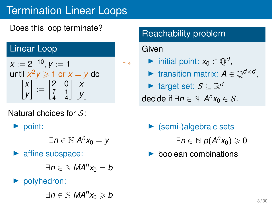Does this loop terminate?

### Linear Loop

$$
x := 2^{-10}, y := 1
$$
  
until  $x^2y \ge 1$  or  $x = y$  do  

$$
\begin{bmatrix} x \\ y \end{bmatrix} := \begin{bmatrix} 2 & 0 \\ \frac{7}{4} & \frac{1}{4} \end{bmatrix} \begin{bmatrix} x \\ y \end{bmatrix}
$$

Natural choices for  $S$ :

▶ point:

$$
\exists n\in\mathbb{N}\ A^n x_0=y
$$

affine subspace:

∃*n* ∈ N *MA<sup>n</sup> x*<sup>0</sup> = *b*

▶ polyhedron:

∃*n* ∈ N *MA<sup>n</sup> x*<sup>0</sup> ⩾ *b*

## Reachability problem

### Given

 $\sim$ 

▶ initial point:  $x_0 \in \mathbb{Q}^d$ ,

▶ transition matrix:  $A \in \mathbb{Q}^{d \times d}$ ,

▶ target set: S ⊆ R *d*

decide if  $\exists n \in \mathbb{N}$ .  $A^n x_0 \in S$ .

 $\blacktriangleright$  (semi-)algebraic sets

 $\exists n \in \mathbb{N}$   $p(A^n x_0) \geqslant 0$ 

▶ boolean combinations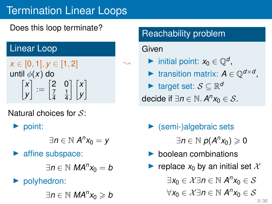## Does this loop terminate?

## Linear Loop

*x* ∈ [0, 1], *y* ∈ [1, 2] until ϕ(*x*) do *x y*  $\Big] := \begin{bmatrix} 2 & 0 \\ 7 & 1 \end{bmatrix}$ 7 4 1 4 *x y* 1

Natural choices for  $S$ :

▶ point:

$$
\exists n\in\mathbb{N}\;A^nx_0=y
$$

▶ affine subspace:

∃*n* ∈ N *MA<sup>n</sup> x*<sup>0</sup> = *b*

▶ polyhedron:

∃*n* ∈ N *MA<sup>n</sup> x*<sup>0</sup> ⩾ *b*

## Reachability problem

### Given

 $\sim$ 

▶ initial point:  $x_0 \in \mathbb{Q}^d$ ,

▶ transition matrix:  $A \in \mathbb{Q}^{d \times d}$ ,

▶ target set: S ⊆ R *d*

decide if  $\exists n \in \mathbb{N}$ .  $A^n x_0 \in S$ .

 $\blacktriangleright$  (semi-)algebraic sets

 $\exists n \in \mathbb{N}$   $p(A^n x_0) \geqslant 0$ 

- $\blacktriangleright$  boolean combinations
- **•** replace  $x_0$  by an initial set X

∃ $x_0 \in \mathcal{X}$ ∃n ∈ ℕ  $A^n x_0 \in \mathcal{S}$ 

 $\forall x_0 \in \mathcal{X} \exists n \in \mathbb{N} \ A^n x_0 \in \mathcal{S}$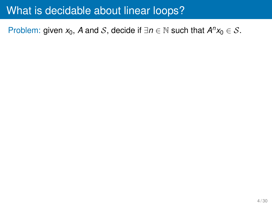Problem: given  $x_0$ , *A* and *S*, decide if  $\exists n \in \mathbb{N}$  such that  $A^n x_0 \in S$ .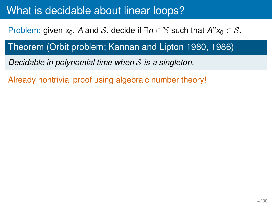Problem: given  $x_0$ , *A* and *S*, decide if  $\exists n \in \mathbb{N}$  such that  $A^n x_0 \in S$ .

## Theorem (Orbit problem; Kannan and Lipton 1980, 1986)

*Decidable in polynomial time when* S *is a singleton.*

Already nontrivial proof using algebraic number theory!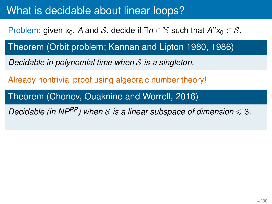Problem: given  $x_0$ , *A* and *S*, decide if  $\exists n \in \mathbb{N}$  such that  $A^n x_0 \in S$ .

Theorem (Orbit problem; Kannan and Lipton 1980, 1986)

*Decidable in polynomial time when* S *is a singleton.*

Already nontrivial proof using algebraic number theory!

Theorem (Chonev, Ouaknine and Worrell, 2016)

*Decidable (in NP<sup>RP</sup>)* when S is a linear subspace of dimension  $\leq 3$ .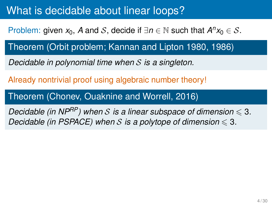Problem: given  $x_0$ , *A* and *S*, decide if  $\exists n \in \mathbb{N}$  such that  $A^n x_0 \in S$ .

Theorem (Orbit problem; Kannan and Lipton 1980, 1986)

*Decidable in polynomial time when* S *is a singleton.*

Already nontrivial proof using algebraic number theory!

Theorem (Chonev, Ouaknine and Worrell, 2016)

*Decidable (in NP<sup>RP</sup>)* when S is a linear subspace of dimension  $\leq 3$ . *Decidable (in PSPACE) when* S is a polytope of dimension  $\leq 3$ .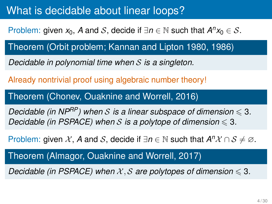Problem: given  $x_0$ , *A* and *S*, decide if  $\exists n \in \mathbb{N}$  such that  $A^n x_0 \in S$ .

Theorem (Orbit problem; Kannan and Lipton 1980, 1986)

*Decidable in polynomial time when* S *is a singleton.*

Already nontrivial proof using algebraic number theory!

Theorem (Chonev, Ouaknine and Worrell, 2016)

*Decidable (in NP<sup>RP</sup>)* when S is a linear subspace of dimension  $\leq 3$ . *Decidable (in PSPACE) when* S is a polytope of dimension  $\leq 3$ .

Problem: given X, A and S, decide if  $\exists n \in \mathbb{N}$  such that  $A^n X \cap S \neq \emptyset$ .

Theorem (Almagor, Ouaknine and Worrell, 2017)

*Decidable (in PSPACE) when*  $X, S$  *are polytopes of dimension*  $\leq 3$ *.*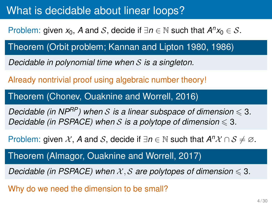Problem: given  $x_0$ , *A* and *S*, decide if  $\exists n \in \mathbb{N}$  such that  $A^n x_0 \in S$ .

Theorem (Orbit problem; Kannan and Lipton 1980, 1986)

*Decidable in polynomial time when* S *is a singleton.*

Already nontrivial proof using algebraic number theory!

Theorem (Chonev, Ouaknine and Worrell, 2016)

*Decidable (in NP<sup>RP</sup>)* when S is a linear subspace of dimension  $\leq 3$ . *Decidable (in PSPACE) when* S is a polytope of dimension  $\leq 3$ .

Problem: given X, A and S, decide if  $\exists n \in \mathbb{N}$  such that  $A^n X \cap S \neq \emptyset$ .

Theorem (Almagor, Ouaknine and Worrell, 2017)

*Decidable (in PSPACE) when*  $X, S$  *are polytopes of dimension*  $\leq 3$ *.* 

Why do we need the dimension to be small?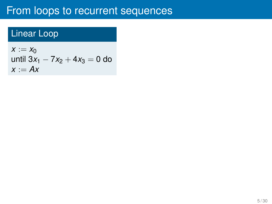## Linear Loop

 $x := x_0$ until  $3x_1 - 7x_2 + 4x_3 = 0$  do  $x := Ax$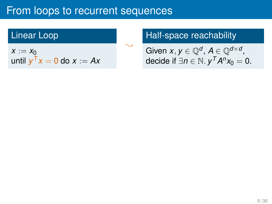$\ddot{\phantom{1}}$ 

## Linear Loop

 $x := x_0$ until  $y^T x = 0$  do  $x := Ax$ 

## Half-space reachability

Given  $x, y \in \mathbb{Q}^d$ ,  $A \in \mathbb{Q}^{d \times d}$ , decide if  $\exists n \in \mathbb{N}$ .  $y^T A^n x_0 = 0$ .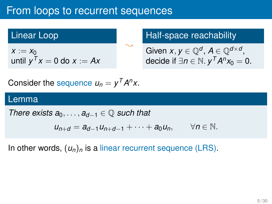### Linear Loop

 $x := x_0$ until  $y^T x = 0$  do  $x := Ax$ 

### Half-space reachability

Given 
$$
x, y \in \mathbb{Q}^d
$$
,  $A \in \mathbb{Q}^{d \times d}$ ,  
decide if  $\exists n \in \mathbb{N}$ .  $y^T A^n x_0 = 0$ .

Consider the sequence  $u_n = y^T A^n x$ .

#### Lemma

*There exists*  $a_0, \ldots, a_{d-1} \in \mathbb{Q}$  *such that* 

$$
u_{n+d} = a_{d-1}u_{n+d-1} + \cdots + a_0u_n, \qquad \forall n \in \mathbb{N}.
$$

 $\ddot{\phantom{1}}$ 

In other words,  $(u_n)_n$  is a linear recurrent sequence (LRS).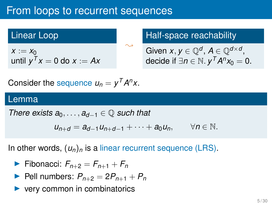### Linear Loop

 $x := x_0$ until  $y^T x = 0$  do  $x := Ax$ 

### Half-space reachability

Given 
$$
x, y \in \mathbb{Q}^d
$$
,  $A \in \mathbb{Q}^{d \times d}$ ,  
decide if  $\exists n \in \mathbb{N}$ .  $y^T A^n x_0 = 0$ .

Consider the sequence  $u_n = y^T A^n x$ .

#### Lemma

*There exists*  $a_0, \ldots, a_{d-1} \in \mathbb{Q}$  *such that* 

$$
u_{n+d} = a_{d-1}u_{n+d-1} + \cdots + a_0u_n, \qquad \forall n \in \mathbb{N}.
$$

 $\ddot{\phantom{1}}$ 

In other words,  $(u_n)_n$  is a linear recurrent sequence (LRS).

- ▶ Fibonacci:  $F_{n+2} = F_{n+1} + F_n$
- ▶ Pell numbers:  $P_{n+2} = 2P_{n+1} + P_n$
- very common in combinatorics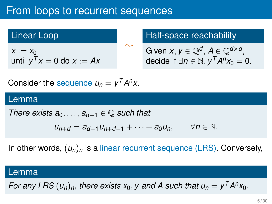## Linear Loop

 $x := x_0$ until  $y^T x = 0$  do  $x := Ax$ 

### Half-space reachability

Given 
$$
x, y \in \mathbb{Q}^d
$$
,  $A \in \mathbb{Q}^{d \times d}$ ,  
decide if  $\exists n \in \mathbb{N}$ .  $y^T A^n x_0 = 0$ .

Consider the sequence  $u_n = y^T A^n x$ .

#### Lemma

*There exists*  $a_0, \ldots, a_{d-1} \in \mathbb{Q}$  *such that* 

$$
u_{n+d} = a_{d-1}u_{n+d-1} + \cdots + a_0u_n, \qquad \forall n \in \mathbb{N}.
$$

 $\ddot{\phantom{1}}$ 

In other words,  $(u_n)_n$  is a linear recurrent sequence (LRS). Conversely,

### Lemma

*For any LRS*  $(u_n)_n$ , there exists  $x_0$ , y and A such that  $u_n = y^T A^n x_0$ .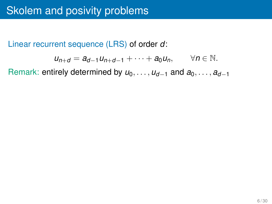Linear recurrent sequence (LRS) of order *d*:

$$
u_{n+d}=a_{d-1}u_{n+d-1}+\cdots+a_0u_n, \qquad \forall n\in\mathbb{N}.
$$

Remark: entirely determined by  $u_0, \ldots, u_{d-1}$  and  $a_0, \ldots, a_{d-1}$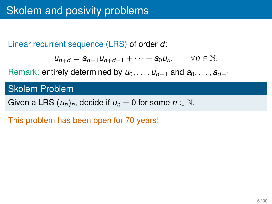Linear recurrent sequence (LRS) of order *d*:

$$
u_{n+d}=a_{d-1}u_{n+d-1}+\cdots+a_0u_n, \qquad \forall n\in\mathbb{N}.
$$

Remark: entirely determined by  $u_0, \ldots, u_{d-1}$  and  $a_0, \ldots, a_{d-1}$ 

Skolem Problem

Given a LRS  $(u_n)_n$ , decide if  $u_n = 0$  for some  $n \in \mathbb{N}$ .

This problem has been open for 70 years!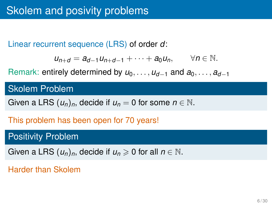Linear recurrent sequence (LRS) of order *d*:

$$
u_{n+d}=a_{d-1}u_{n+d-1}+\cdots+a_0u_n, \qquad \forall n\in\mathbb{N}.
$$

Remark: entirely determined by  $u_0, \ldots, u_{d-1}$  and  $a_0, \ldots, a_{d-1}$ 

Skolem Problem

Given a LRS  $(u_n)_n$ , decide if  $u_n = 0$  for some  $n \in \mathbb{N}$ .

This problem has been open for 70 years!

## Positivity Problem

Given a LRS  $(u_n)_n$ , decide if  $u_n \geq 0$  for all  $n \in \mathbb{N}$ .

Harder than Skolem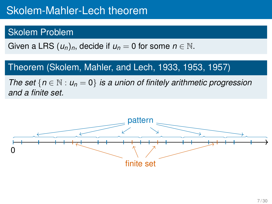# Skolem-Mahler-Lech theorem

## Skolem Problem

Given a LRS  $(u_n)_n$ , decide if  $u_n = 0$  for some  $n \in \mathbb{N}$ .

## Theorem (Skolem, Mahler, and Lech, 1933, 1953, 1957)

*The set*  ${n \in \mathbb{N} : u_n = 0}$  *is a union of finitely arithmetic progression and a finite set.*

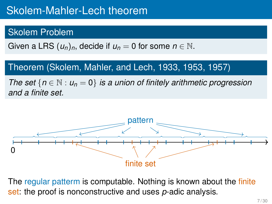# Skolem-Mahler-Lech theorem

## Skolem Problem

Given a LRS  $(u_n)_n$ , decide if  $u_n = 0$  for some  $n \in \mathbb{N}$ .

## Theorem (Skolem, Mahler, and Lech, 1933, 1953, 1957)

*The set*  ${n \in \mathbb{N} : u_n = 0}$  *is a union of finitely arithmetic progression and a finite set.*



The regular patterm is computable. Nothing is known about the finite set: the proof is nonconstructive and uses *p*-adic analysis.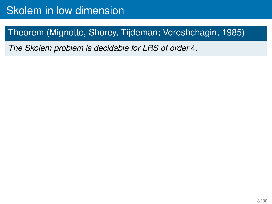## Theorem (Mignotte, Shorey, Tijdeman; Vereshchagin, 1985)

*The Skolem problem is decidable for LRS of order* 4*.*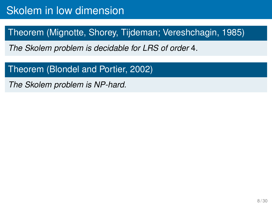## Theorem (Mignotte, Shorey, Tijdeman; Vereshchagin, 1985)

*The Skolem problem is decidable for LRS of order* 4*.*

### Theorem (Blondel and Portier, 2002)

*The Skolem problem is NP-hard.*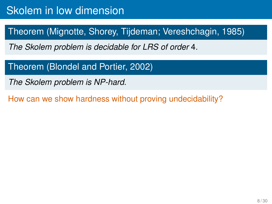## Theorem (Mignotte, Shorey, Tijdeman; Vereshchagin, 1985)

*The Skolem problem is decidable for LRS of order* 4*.*

Theorem (Blondel and Portier, 2002)

*The Skolem problem is NP-hard.*

How can we show hardness without proving undecidability?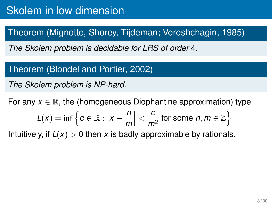## Theorem (Mignotte, Shorey, Tijdeman; Vereshchagin, 1985)

*The Skolem problem is decidable for LRS of order* 4*.*

### Theorem (Blondel and Portier, 2002)

*The Skolem problem is NP-hard.*

For any  $x \in \mathbb{R}$ , the (homogeneous Diophantine approximation) type

$$
L(x) = \inf \left\{ c \in \mathbb{R} : \left| x - \frac{n}{m} \right| < \frac{c}{m^2} \text{ for some } n, m \in \mathbb{Z} \right\}.
$$

Intuitively, if  $L(x) > 0$  then x is badly approximable by rationals.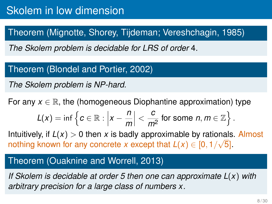## Theorem (Mignotte, Shorey, Tijdeman; Vereshchagin, 1985)

*The Skolem problem is decidable for LRS of order* 4*.*

### Theorem (Blondel and Portier, 2002)

*The Skolem problem is NP-hard.*

For any  $x \in \mathbb{R}$ , the (homogeneous Diophantine approximation) type

$$
L(x) = \inf \left\{ c \in \mathbb{R} : \left| x - \frac{n}{m} \right| < \frac{c}{m^2} \text{ for some } n, m \in \mathbb{Z} \right\}.
$$

Intuitively, if  $L(x) > 0$  then *x* is badly approximable by rationals. Almost nothing known for any concrete *x* except that  $L(x) \in [0, 1/\sqrt{5}]$ .

#### Theorem (Ouaknine and Worrell, 2013)

*If Skolem is decidable at order 5 then one can approximate L*(*x*) *with arbitrary precision for a large class of numbers x.*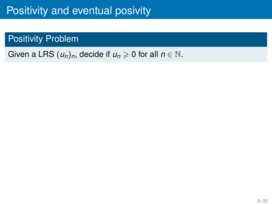# Positivity and eventual posivity

## Positivity Problem

## Given a LRS  $(u_n)_n$ , decide if  $u_n \geq 0$  for all  $n \in \mathbb{N}$ .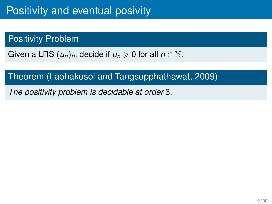## Positivity Problem

Given a LRS  $(u_n)_n$ , decide if  $u_n \ge 0$  for all  $n \in \mathbb{N}$ .

## Theorem (Laohakosol and Tangsupphathawat, 2009)

*The positivity problem is decidable at order* 3*.*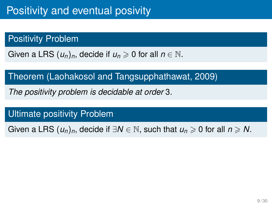## Positivity Problem

Given a LRS  $(u_n)_n$ , decide if  $u_n \geq 0$  for all  $n \in \mathbb{N}$ .

Theorem (Laohakosol and Tangsupphathawat, 2009)

*The positivity problem is decidable at order* 3*.*

Ultimate positivity Problem

Given a LRS  $(u_n)_n$ , decide if  $\exists N \in \mathbb{N}$ , such that  $u_n \geq 0$  for all  $n \geq N$ .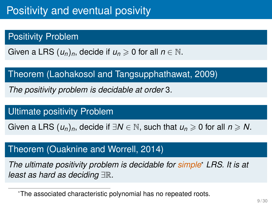## Positivity Problem

Given a LRS  $(u_n)_n$ , decide if  $u_n \geq 0$  for all  $n \in \mathbb{N}$ .

Theorem (Laohakosol and Tangsupphathawat, 2009)

*The positivity problem is decidable at order* 3*.*

Ultimate positivity Problem

Given a LRS  $(u_n)_n$ , decide if  $\exists N \in \mathbb{N}$ , such that  $u_n \geq 0$  for all  $n \geq N$ .

## Theorem (Ouaknine and Worrell, 2014)

*The ultimate positivity problem is decidable for simple*\* *LRS. It is at least as hard as deciding* ∃R*.*

<sup>\*</sup>The associated characteristic polynomial has no repeated roots.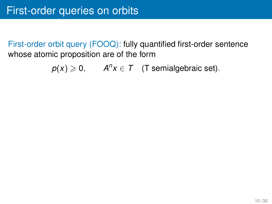First-order orbit query (FOOQ): fully quantified first-order sentence whose atomic proposition are of the form

 $p(x) \geqslant 0$ ,  $A^n x \in T$  (T semialgebraic set).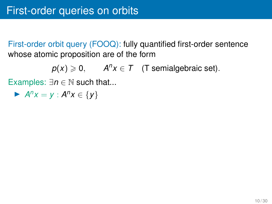$p(x) \geqslant 0$ ,  $A^n x \in T$  (T semialgebraic set).

Examples:  $\exists n \in \mathbb{N}$  such that...

▶  $A^n x = y : A^n x \in \{y\}$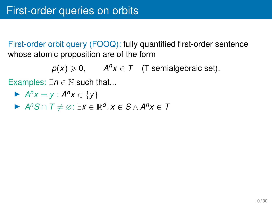$p(x) \geqslant 0$ ,  $A^n x \in T$  (T semialgebraic set).

Examples:  $\exists n \in \mathbb{N}$  such that...

$$
\blacktriangleright A^n x = y : A^n x \in \{y\}
$$

▶ *A <sup>n</sup>S* ∩ *T* ̸= ∅: ∃*x* ∈ R *d* . *x* ∈ *S* ∧ *A <sup>n</sup>x* ∈ *T*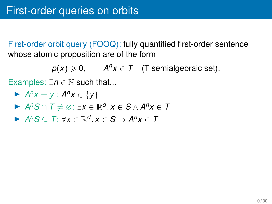$$
p(x) \ge 0
$$
,  $A^n x \in T$  (T semialgebraic set).

Examples:  $\exists n \in \mathbb{N}$  such that...

$$
\blacktriangleright A^n x = y : A^n x \in \{y\}
$$

- ▶ *A <sup>n</sup>S* ∩ *T* ̸= ∅: ∃*x* ∈ R *d* . *x* ∈ *S* ∧ *A <sup>n</sup>x* ∈ *T*
- ▶  $A^nS \subseteq T$ : ∀*x* ∈ ℝ<sup>*d*</sup>. *x* ∈ *S* →  $A^n$ *x* ∈ *T*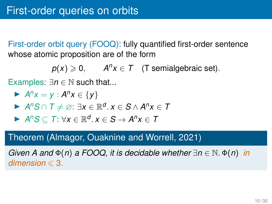$$
p(x) \geq 0, \qquad A^n x \in T \quad (T \text{ semialgebraic set}).
$$

Examples:  $\exists n \in \mathbb{N}$  such that...

$$
\blacktriangleright A^n x = y : A^n x \in \{y\}
$$

- ▶ *A <sup>n</sup>S* ∩ *T* ̸= ∅: ∃*x* ∈ R *d* . *x* ∈ *S* ∧ *A <sup>n</sup>x* ∈ *T*
- ▶  $A^nS \subseteq T$ : ∀*x* ∈ ℝ<sup>*d*</sup>. *x* ∈ *S* →  $A^n$ *x* ∈ *T*

#### Theorem (Almagor, Ouaknine and Worrell, 2021)

*Given A and* Φ(*n*) *a FOOQ, it is decidable whether* ∃*n* ∈ N. Φ(*n*) *in*  $dimension \leq 3$ .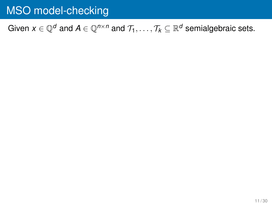### Given  $x \in \mathbb{Q}^d$  and  $A \in \mathbb{Q}^{n \times n}$  and  $\mathcal{T}_1, \ldots, \mathcal{T}_k \subseteq \mathbb{R}^d$  semialgebraic sets.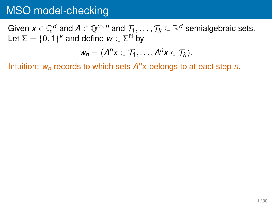Given  $x \in \mathbb{Q}^d$  and  $A \in \mathbb{Q}^{n \times n}$  and  $\mathcal{T}_1, \ldots, \mathcal{T}_k \subseteq \mathbb{R}^d$  semialgebraic sets. Let  $\Sigma = \{0,1\}^k$  and define  $w \in \Sigma^{\mathbb{N}}$  by

$$
w_n=(A^n x\in \mathcal{T}_1,\ldots,A^n x\in \mathcal{T}_k).
$$

Intuition: *w<sup>n</sup>* records to which sets *A <sup>n</sup>x* belongs to at eact step *n*.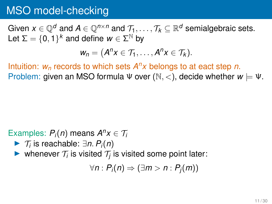Given  $x \in \mathbb{Q}^d$  and  $A \in \mathbb{Q}^{n \times n}$  and  $\mathcal{T}_1, \ldots, \mathcal{T}_k \subseteq \mathbb{R}^d$  semialgebraic sets. Let  $\Sigma = \{0,1\}^k$  and define  $w \in \Sigma^{\mathbb{N}}$  by

$$
w_n=(A^n x\in \mathcal{T}_1,\ldots,A^n x\in \mathcal{T}_k).
$$

Intuition: *w<sup>n</sup>* records to which sets *A <sup>n</sup>x* belongs to at eact step *n*. Problem: given an MSO formula  $\Psi$  over  $(\mathbb{N},<)$ , decide whether  $w \models \Psi$ .

### Examples:  $P_i(n)$  means  $A^n x \in T_i$

- ▶ <sup>T</sup>*<sup>i</sup>* is reachable: ∃*n*. *Pi*(*n*)
- ▶ whenever  $\mathcal{T}_i$  is visited  $\mathcal{T}_j$  is visited some point later:

 $∀n: P<sub>i</sub>(n) ⇒ (∃m > n: P<sub>i</sub>(m))$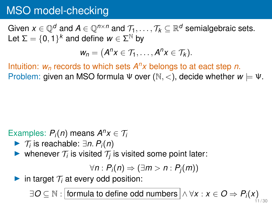Given  $x \in \mathbb{Q}^d$  and  $A \in \mathbb{Q}^{n \times n}$  and  $\mathcal{T}_1, \ldots, \mathcal{T}_k \subseteq \mathbb{R}^d$  semialgebraic sets. Let  $\Sigma = \{0,1\}^k$  and define  $w \in \Sigma^{\mathbb{N}}$  by

$$
w_n=(A^n x\in \mathcal{T}_1,\ldots,A^n x\in \mathcal{T}_k).
$$

Intuition: *w<sup>n</sup>* records to which sets *A <sup>n</sup>x* belongs to at eact step *n*. Problem: given an MSO formula  $\Psi$  over  $(\mathbb{N}, <)$ , decide whether  $w \models \Psi$ .

### Examples:  $P_i(n)$  means  $A^n x \in T_i$

- ▶ <sup>T</sup>*<sup>i</sup>* is reachable: ∃*n*. *Pi*(*n*)
- ▶ whenever  $\mathcal{T}_i$  is visited  $\mathcal{T}_j$  is visited some point later:

$$
\forall n: P_i(n) \Rightarrow (\exists m > n: P_j(m))
$$

 $\blacktriangleright$  in target  $\mathcal{T}_i$  at every odd position:

∃ $O \subseteq \mathbb{N}$  :  $\boxed{\text{formula to define odd numbers}} \wedge \forall x: x \in O \Rightarrow P_i(x)$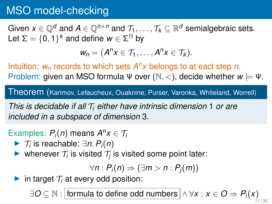Given  $x \in \mathbb{Q}^d$  and  $A \in \mathbb{Q}^{n \times n}$  and  $\mathcal{T}_1, \ldots, \mathcal{T}_k \subseteq \mathbb{R}^d$  semialgebraic sets. Let  $\Sigma = \{0,1\}^k$  and define  $w \in \Sigma^{\mathbb{N}}$  by

$$
w_n=(A^n x\in \mathcal{T}_1,\ldots,A^n x\in \mathcal{T}_k).
$$

Intuition: *w<sup>n</sup>* records to which sets *A <sup>n</sup>x* belongs to at eact step *n*. Problem: given an MSO formula  $\Psi$  over  $(\mathbb{N},<)$ , decide whether  $w \models \Psi$ .

Theorem (Karimov, Lefaucheux, Ouaknine, Purser, Varonka, Whiteland, Worrell)

*This is decidable if all* T*<sup>i</sup> either have intrinsic dimension* 1 *or are included in a subspace of dimension* 3*.*

### Examples:  $P_i(n)$  means  $A^n x \in T_i$

- ▶ <sup>T</sup>*<sup>i</sup>* is reachable: ∃*n*. *Pi*(*n*)
- ▶ whenever  $\mathcal{T}_i$  is visited  $\mathcal{T}_j$  is visited some point later:

$$
\forall n: P_i(n) \Rightarrow (\exists m > n: P_j(m))
$$

 $\blacktriangleright$  in target  $\mathcal{T}_i$  at every odd position:

∃ $O \subseteq \mathbb{N}$  :  $\boxed{\text{formula to define odd numbers}} \wedge \forall x: x \in O \Rightarrow P_i(x)$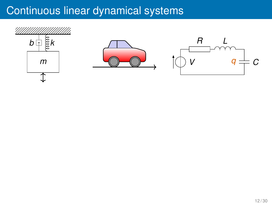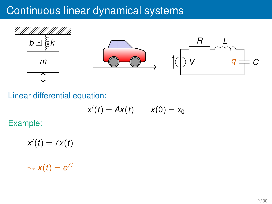

Linear differential equation:

$$
x'(t) = Ax(t) \qquad x(0) = x_0
$$

Example:

 $x'(t) = 7x(t)$ 

 $\sim$   $x(t) = e^{7t}$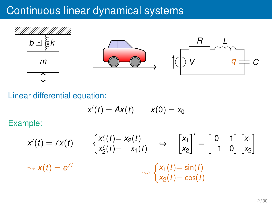

Linear differential equation:

$$
x'(t) = Ax(t) \qquad x(0) = x_0
$$

Example:

$$
x'(t) = 7x(t) \qquad \begin{cases} x'_1(t) = x_2(t) \\ x'_2(t) = -x_1(t) \end{cases} \Leftrightarrow \begin{bmatrix} x_1 \\ x_2 \end{bmatrix}' = \begin{bmatrix} 0 & 1 \\ -1 & 0 \end{bmatrix} \begin{bmatrix} x_1 \\ x_2 \end{bmatrix}
$$

$$
\sim x(t) = e^{7t} \qquad \qquad \sim \begin{cases} x_1(t) = \sin(t) \\ x_2(t) = \cos(t) \end{cases}
$$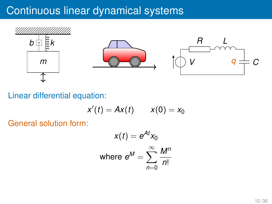

Linear differential equation:

$$
x'(t) = Ax(t) \qquad x(0) = x_0
$$

General solution form:

$$
x(t) = e^{At}x_0
$$
  
where  $e^M = \sum_{n=0}^{\infty} \frac{M^n}{n!}$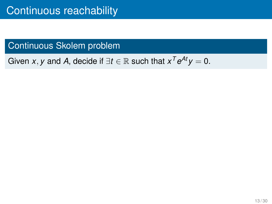Given *x*, *y* and *A*, decide if  $\exists t \in \mathbb{R}$  such that  $x^T e^{At} y = 0$ .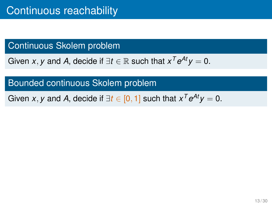Given *x*, *y* and *A*, decide if  $\exists t \in \mathbb{R}$  such that  $x^T e^{At} y = 0$ .

#### Bounded continuous Skolem problem

Given *x*, *y* and *A*, decide if  $\exists t \in [0,1]$  such that  $x^T e^{At} y = 0$ .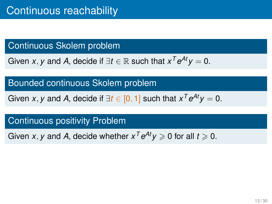Given *x*, *y* and *A*, decide if  $\exists t \in \mathbb{R}$  such that  $x^T e^{At} y = 0$ .

Bounded continuous Skolem problem

Given *x*, *y* and *A*, decide if  $\exists t \in [0,1]$  such that  $x^T e^{At} y = 0$ .

### Continuous positivity Problem

Given *x*, *y* and *A*, decide whether  $x^T e^{At} y \ge 0$  for all  $t \ge 0$ .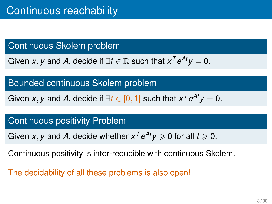Given *x*, *y* and *A*, decide if  $\exists t \in \mathbb{R}$  such that  $x^T e^{At} y = 0$ .

#### Bounded continuous Skolem problem

Given *x*, *y* and *A*, decide if  $\exists t \in [0,1]$  such that  $x^T e^{At} y = 0$ .

### Continuous positivity Problem

Given *x*, *y* and *A*, decide whether  $x^T e^{At} y \ge 0$  for all  $t \ge 0$ .

Continuous positivity is inter-reducible with continuous Skolem.

The decidability of all these problems is also open!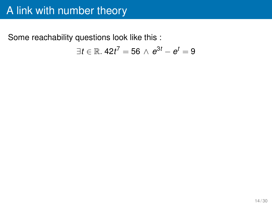## A link with number theory

Some reachability questions look like this :  $\exists t \in \mathbb{R}$ . 42 $t^7 = 56 \, \wedge \, e^{3t} - e^{t} = 9$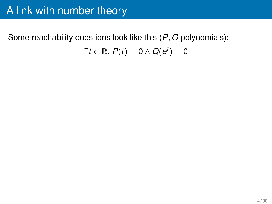Some reachability questions look like this (*P*, *Q* polynomials):  $\exists t\in\mathbb{R}.\; P(t)=\mathsf{0} \wedge Q(\bm{e}^t)=\mathsf{0}$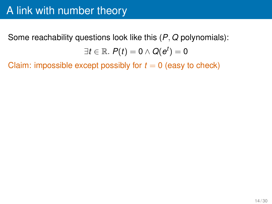# A link with number theory

Some reachability questions look like this (*P*, *Q* polynomials):  $\exists t\in\mathbb{R}.\; P(t)=\mathsf{0} \wedge Q(\bm{e}^t)=\mathsf{0}$ 

Claim: impossible except possibly for  $t = 0$  (easy to check)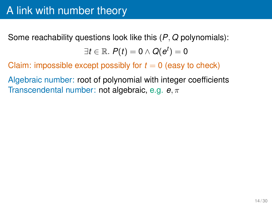Some reachability questions look like this (*P*, *Q* polynomials):

 $\exists t\in\mathbb{R}.\; P(t)=\mathsf{0} \wedge Q(\bm{e}^t)=\mathsf{0}$ 

Claim: impossible except possibly for  $t = 0$  (easy to check)

Algebraic number: root of polynomial with integer coefficients Transcendental number: not algebraic, e.g. *e*, π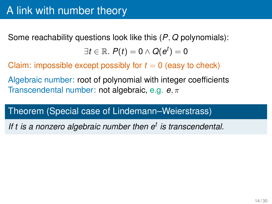Some reachability questions look like this (*P*, *Q* polynomials):

 $\exists t\in\mathbb{R}.\; P(t)=\mathsf{0} \wedge Q(\bm{e}^t)=\mathsf{0}$ 

Claim: impossible except possibly for  $t = 0$  (easy to check)

Algebraic number: root of polynomial with integer coefficients Transcendental number: not algebraic, e.g. *e*, π

#### Theorem (Special case of Lindemann–Weierstrass)

*If t is a nonzero algebraic number then e<sup>t</sup> is transcendental.*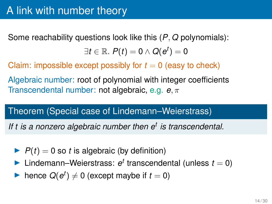Some reachability questions look like this (*P*, *Q* polynomials):

 $\exists t\in\mathbb{R}.\; P(t)=\mathsf{0} \wedge Q(\bm{e}^t)=\mathsf{0}$ 

Claim: impossible except possibly for  $t = 0$  (easy to check)

Algebraic number: root of polynomial with integer coefficients Transcendental number: not algebraic, e.g. *e*, π

#### Theorem (Special case of Lindemann–Weierstrass)

*If t is a nonzero algebraic number then e<sup>t</sup> is transcendental.*

- $\blacktriangleright$   $P(t) = 0$  so *t* is algebraic (by definition)
- $\blacktriangleright$  Lindemann–Weierstrass:  $e^t$  transcendental (unless  $t = 0$ )
- ▶ hence  $Q(e^t) \neq 0$  (except maybe if  $t = 0$ )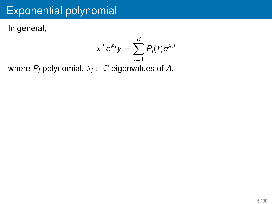In general,

$$
x^T e^{At} y = \sum_{i=1}^d P_i(t) e^{\lambda_i t}
$$

where  $P_i$  polynomial,  $\lambda_i \in \mathbb{C}$  eigenvalues of A.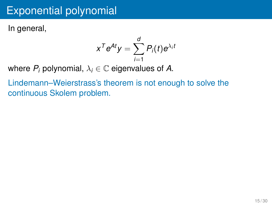In general,

$$
x^T e^{At} y = \sum_{i=1}^d P_i(t) e^{\lambda_i t}
$$

where  $P_i$  polynomial,  $\lambda_i \in \mathbb{C}$  eigenvalues of A.

Lindemann–Weierstrass's theorem is not enough to solve the continuous Skolem problem.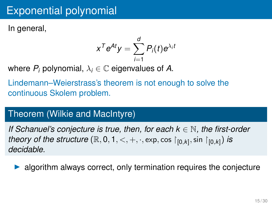In general,

$$
x^T e^{At} y = \sum_{i=1}^d P_i(t) e^{\lambda_i t}
$$

where  $P_i$  polynomial,  $\lambda_i \in \mathbb{C}$  eigenvalues of A.

Lindemann–Weierstrass's theorem is not enough to solve the continuous Skolem problem.

### Theorem (Wilkie and MacIntyre)

*If Schanuel's conjecture is true, then, for each k* ∈ N*, the first-order theory of the structure*  $(\mathbb{R}, 0, 1, <, +, \cdot, \exp, \cos |_{[0,k]}, \sin |_{[0,k]})$  *is decidable.*

algorithm always correct, only termination requires the conjecture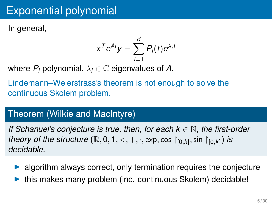In general,

$$
x^T e^{At} y = \sum_{i=1}^d P_i(t) e^{\lambda_i t}
$$

where  $P_i$  polynomial,  $\lambda_i \in \mathbb{C}$  eigenvalues of A.

Lindemann–Weierstrass's theorem is not enough to solve the continuous Skolem problem.

### Theorem (Wilkie and MacIntyre)

*If Schanuel's conjecture is true, then, for each k* ∈ N*, the first-order theory of the structure*  $(\mathbb{R}, 0, 1, <, +, \cdot, \exp, \cos |_{[0,k]}, \sin |_{[0,k]})$  *is decidable.*

- algorithm always correct, only termination requires the conjecture
- this makes many problem (inc. continuous Skolem) decidable!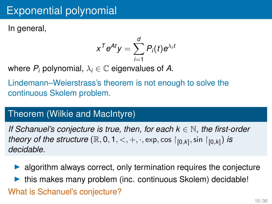In general,

$$
x^T e^{At} y = \sum_{i=1}^d P_i(t) e^{\lambda_i t}
$$

where  $P_i$  polynomial,  $\lambda_i \in \mathbb{C}$  eigenvalues of A.

Lindemann–Weierstrass's theorem is not enough to solve the continuous Skolem problem.

### Theorem (Wilkie and MacIntyre)

*If Schanuel's conjecture is true, then, for each k* ∈ N*, the first-order theory of the structure*  $(\mathbb{R}, 0, 1, <, +, \cdot, \exp, \cos |_{[0,k]}, \sin |_{[0,k]})$  *is decidable.*

- algorithm always correct, only termination requires the conjecture
- this makes many problem (inc. continuous Skolem) decidable! What is Schanuel's conjecture?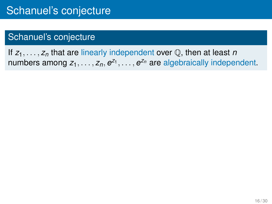If *z*1, . . . , *z<sup>n</sup>* that are linearly independent over Q, then at least *n* numbers among  $z_1, \ldots, z_n, e^{z_1}, \ldots, e^{z_n}$  are algebraically independent.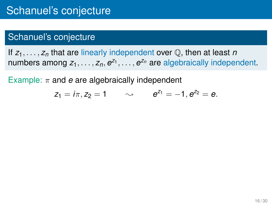If *z*1, . . . , *z<sup>n</sup>* that are linearly independent over Q, then at least *n* numbers among  $z_1, \ldots, z_n, e^{z_1}, \ldots, e^{z_n}$  are algebraically independent.

Example:  $\pi$  and  $e$  are algebraically independent

$$
z_1 = i\pi, z_2 = 1
$$
  $\sim$   $e^{z_1} = -1, e^{z_2} = e.$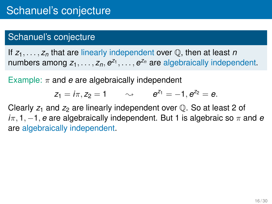If *z*1, . . . , *z<sup>n</sup>* that are linearly independent over Q, then at least *n* numbers among  $z_1, \ldots, z_n, e^{z_1}, \ldots, e^{z_n}$  are algebraically independent.

Example:  $\pi$  and *e* are algebraically independent

$$
z_1 = i\pi, z_2 = 1
$$
  $\sim$   $e^{z_1} = -1, e^{z_2} = e.$ 

Clearly  $z_1$  and  $z_2$  are linearly independent over  $\mathbb Q$ . So at least 2 of  $i\pi$ , 1,  $-1$ , *e* are algebraically independent. But 1 is algebraic so  $\pi$  and *e* are algebraically independent.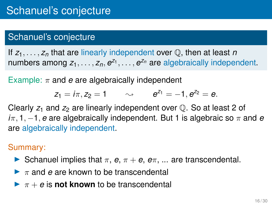If *z*1, . . . , *z<sup>n</sup>* that are linearly independent over Q, then at least *n* numbers among  $z_1, \ldots, z_n, e^{z_1}, \ldots, e^{z_n}$  are algebraically independent.

Example:  $\pi$  and *e* are algebraically independent

$$
z_1 = i\pi, z_2 = 1
$$
  $\sim$   $e^{z_1} = -1, e^{z_2} = e.$ 

Clearly  $z_1$  and  $z_2$  are linearly independent over  $\mathbb Q$ . So at least 2 of  $i\pi$ , 1,  $-1$ , *e* are algebraically independent. But 1 is algebraic so  $\pi$  and *e* are algebraically independent.

#### Summary:

- **►** Schanuel implies that  $π$ ,  $e$ ,  $π + e$ ,  $eπ$ , ... are transcendental.
- $\blacktriangleright$   $\pi$  and *e* are known to be transcendental
- $\blacktriangleright \pi + e$  is **not known** to be transcendental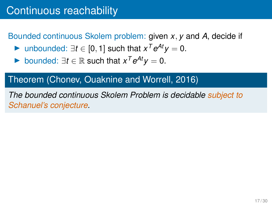Bounded continuous Skolem problem: given *x*, *y* and *A*, decide if

- ▶ unbounded:  $\exists t \in [0, 1]$  such that  $x^T e^{At} y = 0$ .
- ▶ bounded:  $\exists t \in \mathbb{R}$  such that  $x^T e^{At} y = 0$ .

### Theorem (Chonev, Ouaknine and Worrell, 2016)

*The bounded continuous Skolem Problem is decidable subject to Schanuel's conjecture.*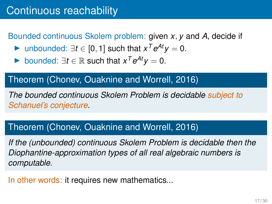Bounded continuous Skolem problem: given *x*, *y* and *A*, decide if

- ▶ unbounded:  $\exists t \in [0, 1]$  such that  $x^T e^{At} y = 0$ .
- ▶ bounded:  $\exists t \in \mathbb{R}$  such that  $x^T e^{At} y = 0$ .

#### Theorem (Chonev, Ouaknine and Worrell, 2016)

*The bounded continuous Skolem Problem is decidable subject to Schanuel's conjecture.*

#### Theorem (Chonev, Ouaknine and Worrell, 2016)

*If the (unbounded) continuous Skolem Problem is decidable then the Diophantine-approximation types of all real algebraic numbers is computable.*

In other words: it requires new mathematics...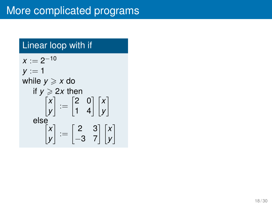### Linear loop with if

 $x := 2^{-10}$  $y := 1$ while  $y \geqslant x$  do if  $y \ge 2x$  then *x y*  $\begin{bmatrix} 2 & 0 \\ 1 & 4 \end{bmatrix} \begin{bmatrix} x \\ y \end{bmatrix}$ 1 else *x y*  $\begin{bmatrix} 2 & 3 \\ -3 & 7 \end{bmatrix}$   $\begin{bmatrix} x \\ y \end{bmatrix}$ 1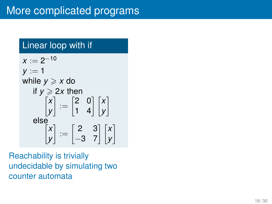### Linear loop with if

 $x := 2^{-10}$  $y := 1$ while *y* ⩾ *x* do if *y* ⩾ 2 *x* then  $\begin{bmatrix} x \\ y \end{bmatrix} := \begin{bmatrix} 2 & 0 \\ 1 & 4 \end{bmatrix} \begin{bmatrix} x \\ y \end{bmatrix}$ else  $\begin{bmatrix} x \\ y \end{bmatrix} := \begin{bmatrix} 2 & 3 \\ -3 & 7 \end{bmatrix} \begin{bmatrix} x \\ y \end{bmatrix}$ 

Reachability is trivially undecidable by simulating two counter automata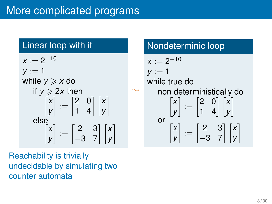#### Linear loop with if

 $x := 2^{-10}$  $y := 1$ while  $y \geqslant x$  do if  $y \ge 2x$  then *x y*  $\begin{bmatrix} 2 & 0 \\ 1 & 4 \end{bmatrix} \begin{bmatrix} x \\ y \end{bmatrix}$ 1 else *x y*  $\begin{bmatrix} 2 & 3 \\ -3 & 7 \end{bmatrix}$   $\begin{bmatrix} x \\ y \end{bmatrix}$ 1

Reachability is trivially undecidable by simulating two counter automata

#### Nondeterminic loop

 $\rightsquigarrow$ 

$$
x := 2^{-10}
$$
  
\n
$$
y := 1
$$
  
\nwhile true do  
\nnon deterministically do  
\n
$$
\begin{bmatrix} x \\ y \end{bmatrix} := \begin{bmatrix} 2 & 0 \\ 1 & 4 \end{bmatrix} \begin{bmatrix} x \\ y \end{bmatrix}
$$
  
\nor  
\n
$$
\begin{bmatrix} x \\ y \end{bmatrix} := \begin{bmatrix} 2 & 3 \\ -3 & 7 \end{bmatrix} \begin{bmatrix} x \\ y \end{bmatrix}
$$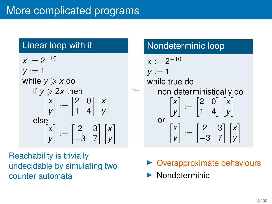#### Linear loop with if

 $x := 2^{-10}$  $y := 1$ while  $y \geqslant x$  do if  $y \ge 2x$  then *x y*  $\begin{bmatrix} 2 & 0 \\ 1 & 4 \end{bmatrix} \begin{bmatrix} x \\ y \end{bmatrix}$ 1 else *x y*  $\begin{bmatrix} 2 & 3 \\ -3 & 7 \end{bmatrix}$   $\begin{bmatrix} x \\ y \end{bmatrix}$ 1

Reachability is trivially undecidable by simulating two counter automata

#### Nondeterminic loop

$$
x := 2^{-10}
$$
  
\n
$$
y := 1
$$
  
\nwhile true do  
\nnon deterministically do  
\n
$$
\begin{bmatrix} x \\ y \end{bmatrix} := \begin{bmatrix} 2 & 0 \\ 1 & 4 \end{bmatrix} \begin{bmatrix} x \\ y \end{bmatrix}
$$
  
\nor  
\n
$$
\begin{bmatrix} x \\ y \end{bmatrix} := \begin{bmatrix} 2 & 3 \\ -3 & 7 \end{bmatrix} \begin{bmatrix} x \\ y \end{bmatrix}
$$

- ▶ Overapproximate behaviours
- ▶ Nondeterminic

 $\ddot{\phantom{1}}$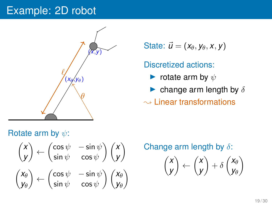#### Example: 2D robot



State:  $\vec{u} = (x_{\theta}, y_{\theta}, x, y)$ 

Discretized actions:

- $\blacktriangleright$  rotate arm by  $\psi$
- $\blacktriangleright$  change arm length by  $\delta$

 $\sim$  Linear transformations

#### Rotate arm by  $\psi$ :

$$
\begin{pmatrix} x \\ y \end{pmatrix} \leftarrow \begin{pmatrix} \cos \psi & -\sin \psi \\ \sin \psi & \cos \psi \end{pmatrix} \begin{pmatrix} x \\ y \end{pmatrix}
$$

$$
\begin{pmatrix} x_{\theta} \\ y_{\theta} \end{pmatrix} \leftarrow \begin{pmatrix} \cos \psi & -\sin \psi \\ \sin \psi & \cos \psi \end{pmatrix} \begin{pmatrix} x_{\theta} \\ y_{\theta} \end{pmatrix}
$$

Change arm length by  $\delta$ :

$$
\begin{pmatrix} x \\ y \end{pmatrix} \leftarrow \begin{pmatrix} x \\ y \end{pmatrix} + \delta \begin{pmatrix} x_\theta \\ y_\theta \end{pmatrix}
$$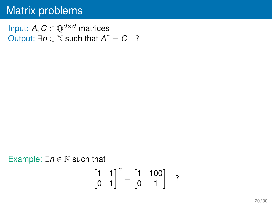Input:  $A, C \in \mathbb{Q}^{d \times d}$  matrices Output:  $\exists n \in \mathbb{N}$  such that  $A^n = C$  ?

Example: ∃*n* ∈ N such that

$$
\begin{bmatrix} 1 & 1 \\ 0 & 1 \end{bmatrix}^n = \begin{bmatrix} 1 & 100 \\ 0 & 1 \end{bmatrix} ?
$$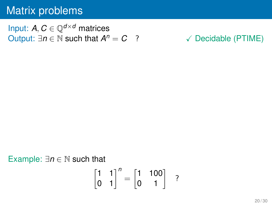Input: *A*,  $C \in \mathbb{O}^{d \times d}$  matrices Output:  $\exists n \in \mathbb{N}$  such that  $A^n = C$  ?

√ Decidable (PTIME)

#### Example: ∃*n* ∈ N such that

$$
\begin{bmatrix} 1 & 1 \\ 0 & 1 \end{bmatrix}^n = \begin{bmatrix} 1 & 100 \\ 0 & 1 \end{bmatrix} ?
$$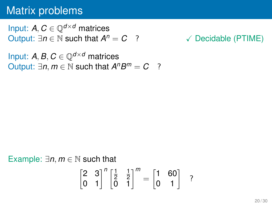Input:  $A, C \in \mathbb{Q}^{d \times d}$  matrices Output:  $\exists n \in \mathbb{N}$  such that  $A^n = C$  ?

√ Decidable (PTIME)

Input: A, B,  $C \in \mathbb{O}^{d \times d}$  matrices Output:  $\exists n, m \in \mathbb{N}$  such that  $A^n B^m = C$  ?

Example: ∃*n*, *m* ∈ N such that  $\begin{bmatrix} 2 & 3 \\ 0 & 1 \end{bmatrix}^n \begin{bmatrix} \frac{1}{2} \\ 0 \end{bmatrix}$ 2 1 2  $\begin{bmatrix} \frac{1}{2} & \frac{1}{2} \\ 0 & 1 \end{bmatrix}^m = \begin{bmatrix} 1 & 60 \\ 0 & 1 \end{bmatrix}$  ?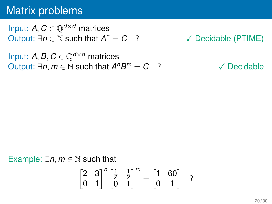Input:  $A, C \in \mathbb{Q}^{d \times d}$  matrices Output:  $\exists n \in \mathbb{N}$  such that  $A^n = C$  ?

√ Decidable (PTIME)

Input: A, B,  $C \in \mathbb{O}^{d \times d}$  matrices Output:  $\exists n, m \in \mathbb{N}$  such that  $A^n B^m = C$  ?  $\checkmark$  Decidable

Example: ∃*n*, *m* ∈ N such that  $\begin{bmatrix} 2 & 3 \\ 0 & 1 \end{bmatrix}^n \begin{bmatrix} \frac{1}{2} \\ 0 \end{bmatrix}$ 2 1 2  $\begin{bmatrix} \frac{1}{2} & \frac{1}{2} \\ 0 & 1 \end{bmatrix}^m = \begin{bmatrix} 1 & 60 \\ 0 & 1 \end{bmatrix}$  ?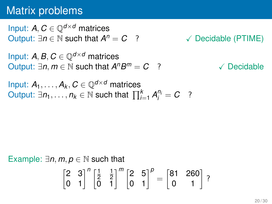Input:  $A, C \in \mathbb{O}^{d \times d}$  matrices Output:  $∃n ∈ ℕ$  such that  $A<sup>n</sup> = C$  ?

√ Decidable (PTIME)

Input: *A*, *B*,  $C \in \mathbb{O}^{d \times d}$  matrices Output:  $\exists n, m \in \mathbb{N}$  such that  $A^n B^m = C$  ?  $\checkmark$  Decidable

Input:  $A_1, \ldots, A_k, C \in \mathbb{Q}^{d \times d}$  matrices  $\bigcup_{i=1}^{k} A_i^{n_i} = C$  ?

Example:  $\exists n, m, p \in \mathbb{N}$  such that  $\begin{bmatrix} 2 & 3 \\ 0 & 1 \end{bmatrix}^n \begin{bmatrix} \frac{1}{2} \\ 0 \end{bmatrix}$ 2 1 2  $\begin{bmatrix} \frac{1}{2} & \frac{1}{2} \\ 0 & 1 \end{bmatrix}^m \begin{bmatrix} 2 & 5 \\ 0 & 1 \end{bmatrix}^p = \begin{bmatrix} 81 & 260 \\ 0 & 1 \end{bmatrix}$ ?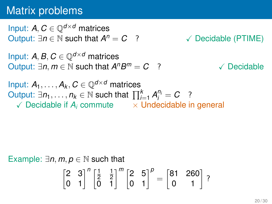Input:  $A, C \in \mathbb{O}^{d \times d}$  matrices Output:  $\exists n \in \mathbb{N}$  such that  $A^n = C$  ? √ Decidable (PTIME)

Input: *A*, *B*,  $C \in \mathbb{O}^{d \times d}$  matrices Output:  $\exists n, m \in \mathbb{N}$  such that  $A^n B^m = C$  ?  $\checkmark$  Decidable

Input:  $A_1, \ldots, A_k, C \in \mathbb{Q}^{d \times d}$  matrices  $\bigcup_{i=1}^{k} A_i^{n_i} = C$  ?  $\sqrt{\ }$  Decidable if  $A_i$  commute  $\sqrt{\ }$  Undecidable in general

Example:  $\exists n, m, p \in \mathbb{N}$  such that

$$
\begin{bmatrix} 2 & 3 \\ 0 & 1 \end{bmatrix}^n \begin{bmatrix} \frac{1}{2} & \frac{1}{2} \\ 0 & 1 \end{bmatrix}^m \begin{bmatrix} 2 & 5 \\ 0 & 1 \end{bmatrix}^p = \begin{bmatrix} 81 & 260 \\ 0 & 1 \end{bmatrix} ?
$$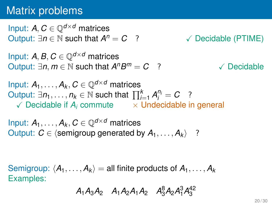Input:  $A, C \in \mathbb{O}^{d \times d}$  matrices Output:  $\exists n \in \mathbb{N}$  such that  $A^n = C$  ? √ Decidable (PTIME)

Input: *A*, *B*,  $C \in \mathbb{O}^{d \times d}$  matrices Output:  $\exists n, m \in \mathbb{N}$  such that  $A^n B^m = C$  ?  $\checkmark$  Decidable

Input:  $A_1, \ldots, A_k, C \in \mathbb{Q}^{d \times d}$  matrices  $\bigcup_{i=1}^{k} A_i^{n_i} = C$  ?  $\checkmark$  Decidable if  $A_i$  commute  $\checkmark$   $\times$  Undecidable in general

Input:  $A_1, \ldots, A_k, C \in \mathbb{Q}^{d \times d}$  matrices Output:  $C \in \langle$  semigroup generated by  $A_1, \ldots, A_k \rangle$  ?

Semigroup:  $\langle A_1, \ldots, A_k \rangle =$  all finite products of  $A_1, \ldots, A_k$ Examples:

 $A_1A_3A_2$   $A_1A_2A_1A_2$   $A_3^8A_2A_1^3A_3^{42}$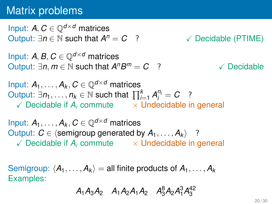Input:  $A, C \in \mathbb{O}^{d \times d}$  matrices Output:  $\exists n \in \mathbb{N}$  such that  $A^n = C$  ? √ Decidable (PTIME)

Input: *A*, *B*,  $C \in \mathbb{O}^{d \times d}$  matrices Output:  $\exists n, m \in \mathbb{N}$  such that  $A^nB$ √ Decidable

Input:  $A_1, \ldots, A_k, C \in \mathbb{Q}^{d \times d}$  matrices  $\bigcup_{i=1}^{k} A_i^{n_i} = C$  ?  $\checkmark$  Decidable if  $A_i$  commute  $\checkmark$   $\times$  Undecidable in general

Input:  $A_1, \ldots, A_k, C \in \mathbb{Q}^{d \times d}$  matrices Output:  $C \in \langle$  semigroup generated by  $A_1, \ldots, A_k \rangle$  ?  $\checkmark$  Decidable if  $A_i$  commute  $\checkmark$   $\times$  Undecidable in general

Semigroup:  $\langle A_1, \ldots, A_k \rangle =$  all finite products of  $A_1, \ldots, A_k$ Examples:

 $A_1A_3A_2$   $A_1A_2A_1A_2$   $A_3^8A_2A_1^3A_3^{42}$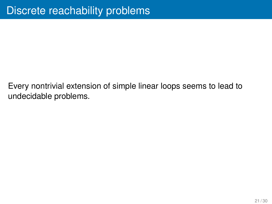Every nontrivial extension of simple linear loops seems to lead to undecidable problems.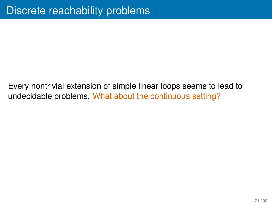Every nontrivial extension of simple linear loops seems to lead to undecidable problems. What about the continuous setting?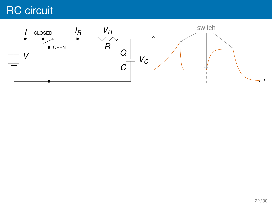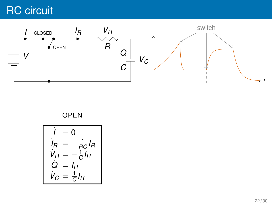

#### OPEN

$$
\begin{cases}\nI = 0 \\
I_R = -\frac{1}{RC}I_R \\
V_R = -\frac{1}{C}I_R \\
\dot{Q} = I_R \\
V_C = \frac{1}{C}I_R\n\end{cases}
$$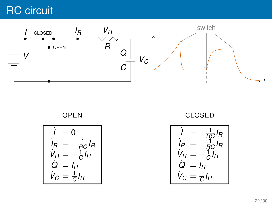

OPEN

$$
\begin{cases}\nI = 0 \\
I_R = -\frac{1}{RC}I_R \\
V_R = -\frac{1}{C}I_R \\
\dot{Q} = I_R \\
V_C = \frac{1}{C}I_R\n\end{cases}
$$

CLOSED

$$
I = -\frac{1}{RC}I_R
$$
  
\n
$$
I_R = -\frac{1}{RC}I_R
$$
  
\n
$$
V_R = -\frac{1}{C}I_R
$$
  
\n
$$
Q = I_R
$$
  
\n
$$
V_C = \frac{1}{C}I_R
$$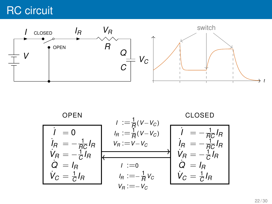

$$
\begin{array}{|c|c|c|c|}\n\hline\n\text{OPEN} & I := \frac{1}{R}(V-V_C) & \text{CLOSED} \\
\hline\nI_R = -\frac{1}{RC}I_R & I_{R} := \frac{1}{R}(V-V_C) & I_{R} = -\frac{1}{RC}I_R \\
\dot{V}_R = -\frac{1}{C}I_R & V_R := V-V_C & I_{R} = -\frac{1}{RC}I_R \\
\dot{Q} = I_R & I := 0 & Q = I_R \\
\dot{V}_C = \frac{1}{C}I_R & I_{R} := -\frac{1}{R}V_C & \dot{V}_C = \frac{1}{C}I_R \\
\hline\nV_R := -V_C & V_C = \frac{1}{C}I_R\n\end{array}
$$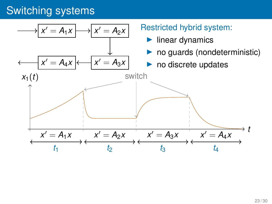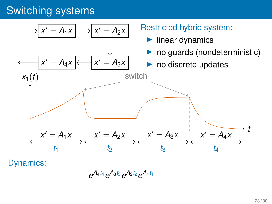

Dynamics:

*e <sup>A</sup>*4*t*<sup>4</sup> *e <sup>A</sup>*3*t*<sup>3</sup> *e <sup>A</sup>*2*t*<sup>2</sup> *e A*1*t*<sup>1</sup>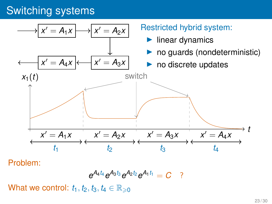

Problem:

$$
e^{A_4t_4}e^{A_3t_3}e^{A_2t_2}e^{A_1t_1}=C
$$
?

What we control:  $t_1, t_2, t_3, t_4 \in \mathbb{R}_{\geqslant 0}$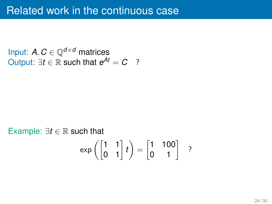Input:  $A, C \in \mathbb{Q}^{d \times d}$  matrices Output:  $\exists t \in \mathbb{R}$  such that  $e^{At} = C$  ?

Example:  $\exists t \in \mathbb{R}$  such that  $\exp\left(\begin{bmatrix} 1 & 1 \\ 0 & 1 \end{bmatrix}t\right) = \begin{bmatrix} 1 & 100 \\ 0 & 1 \end{bmatrix}$  ?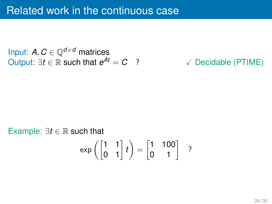Input:  $A, C \in \mathbb{Q}^{d \times d}$  matrices Output:  $\exists t \in \mathbb{R}$  such that  $e^{At} = C$  ?

#### √ Decidable (PTIME)

# Example:  $\exists t \in \mathbb{R}$  such that  $\exp\left(\begin{bmatrix} 1 & 1 \\ 0 & 1 \end{bmatrix}t\right) = \begin{bmatrix} 1 & 100 \\ 0 & 1 \end{bmatrix}$  ?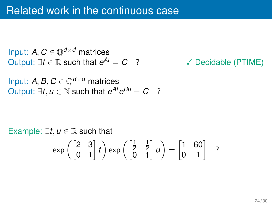Input:  $A, C \in \mathbb{Q}^{d \times d}$  matrices Output:  $\exists t \in \mathbb{R}$  such that  $e^{At} = C$  ?

√ Decidable (PTIME)

Input:  $A, B, C \in \mathbb{Q}^{d \times d}$  matrices Output:  $\exists t, u \in \mathbb{N}$  such that  $e^{At}e^{Bu} = C$  ?

Example:  $\exists t, u \in \mathbb{R}$  such that  $\exp\left(\begin{bmatrix} 2 & 3 \ 0 & 1 \end{bmatrix} t\right) \exp\left(\begin{bmatrix} \frac{1}{2} \ 0 \end{bmatrix} \right)$ 1  $\begin{bmatrix} \frac{1}{2} & \frac{1}{2} \\ 0 & 1 \end{bmatrix}$   $u$   $=$   $\begin{bmatrix} 1 & 60 \\ 0 & 1 \end{bmatrix}$  ?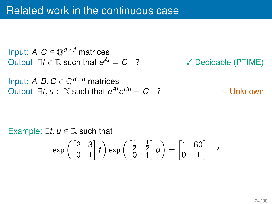Input:  $A, C \in \mathbb{Q}^{d \times d}$  matrices Output:  $\exists t \in \mathbb{R}$  such that  $e^{At} = C$  ? √ Decidable (PTIME) Input: *A*, *B*,  $C \in \mathbb{Q}^{d \times d}$  matrices  $Output: ∃t, u ∈ ℕ$  such that  $e^{At}e^{Bu} = C$  ?  $×$  Unknown

Example:  $\exists t, u \in \mathbb{R}$  such that  $\exp\left(\begin{bmatrix} 2 & 3 \ 0 & 1 \end{bmatrix} t\right) \exp\left(\begin{bmatrix} \frac{1}{2} \ 0 \end{bmatrix} \right)$ 1  $\begin{bmatrix} \frac{1}{2} & \frac{1}{2} \\ 0 & 1 \end{bmatrix}$   $u$   $=$   $\begin{bmatrix} 1 & 60 \\ 0 & 1 \end{bmatrix}$  ?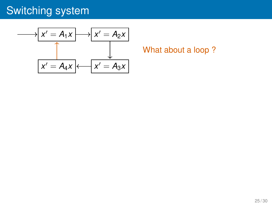$$
x' = A_1 x \longrightarrow x' = A_2 x
$$
\n
$$
x' = A_4 x \longleftarrow x' = A_3 x
$$

What about a loop ?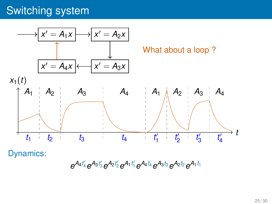

Dynamics:

 $e^{A_4t'_4}e^{A_3t'_3}e^{A_2t'_2}e^{A_1t'_1}e^{A_4t_4}e^{A_3t_3}e^{A_2t_2}e^{A_1t_1}$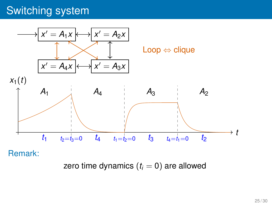

Remark:

zero time dynamics  $(t<sub>i</sub> = 0)$  are allowed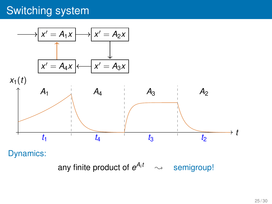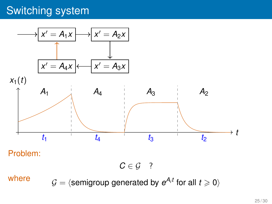

Problem:

 $C \in \mathcal{G}$  ?

where  $\mathcal{G} = \langle$  semigroup generated by  $e^{A_i t}$  for all  $t \geqslant 0 \rangle$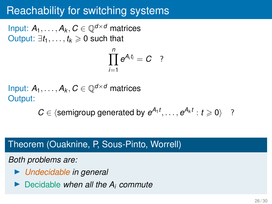#### Reachability for switching systems

Input:  $A_1, \ldots, A_k, C \in \mathbb{O}^{d \times d}$  matrices Output:  $\exists t_1, \ldots, t_k \geq 0$  such that

$$
\prod_{i=1}^n e^{A_i t_i}=C \quad ?
$$

Input:  $A_1, \ldots, A_k, C \in \mathbb{Q}^{d \times d}$  matrices Output:

 $C \in \langle$  semigroup generated by  $e^{A_1 t}, \ldots, e^{A_k t} : t \geq 0 \rangle$  ?

#### Theorem (Ouaknine, P, Sous-Pinto, Worrell)

*Both problems are:*

- ▶ *Undecidable in general*
- ▶ Decidable *when all the A<sup>i</sup> commute*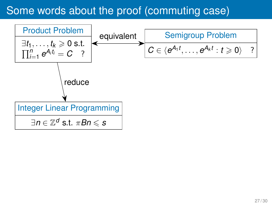#### Some words about the proof (commuting case)

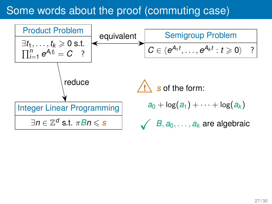#### Some words about the proof (commuting case)

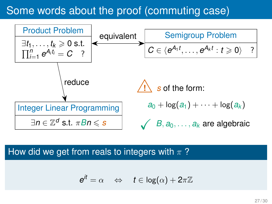#### Some words about the proof (commuting case)



#### How did we get from reals to integers with  $\pi$ ?

$$
e^{it} = \alpha \quad \Leftrightarrow \quad t \in \log(\alpha) + 2\pi\mathbb{Z}
$$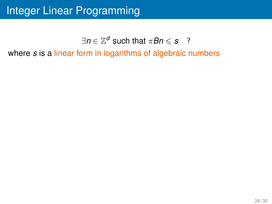# Integer Linear Programming

#### $\exists n \in \mathbb{Z}^d$  such that  $\pi Bn \leqslant s$  ?

where *s* is a linear form in logarithms of algebraic numbers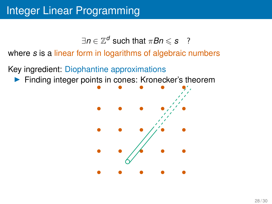$\exists n \in \mathbb{Z}^d$  such that  $\pi Bn \leqslant s$  ?

where *s* is a linear form in logarithms of algebraic numbers

Key ingredient: Diophantine approximations

▶ Finding integer points in cones: Kronecker's theorem

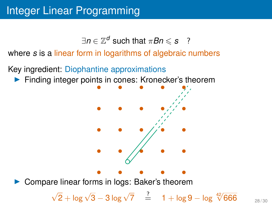$\exists n \in \mathbb{Z}^d$  such that  $\pi Bn \leqslant s$  ?

where *s* is a linear form in logarithms of algebraic numbers

Key ingredient: Diophantine approximations

▶ Finding integer points in cones: Kronecker's theorem



Compare linear forms in logs: Baker's theorem

 $\sqrt{2} + \log \sqrt{3} - 3 \log \sqrt{7}$   $\frac{?}{=}$  1 + log 9 − log <sup>42</sup>/666 <sub>28/30</sub>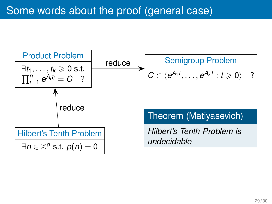## Some words about the proof (general case)